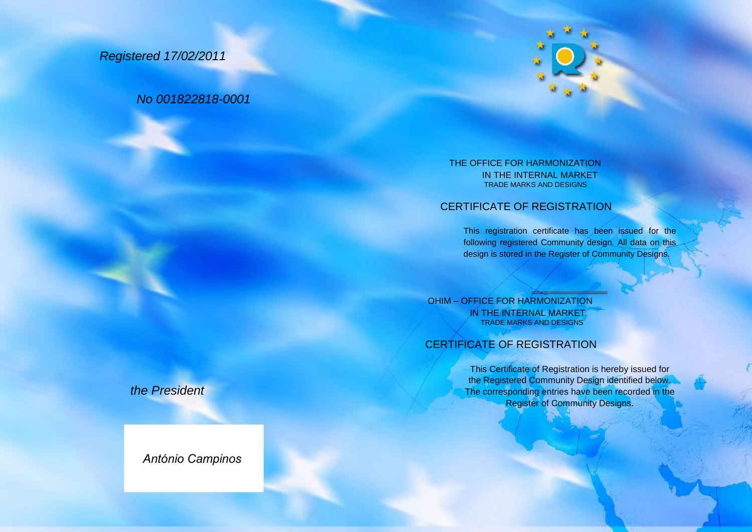# *Registered 17/02/2011*

## *No 001822818-0001*



#### THE OFFICE FOR HARMONIZATION IN THE INTERNAL MARKET TRADE MARKS AND DESIGNS

## CERTIFICATE OF REGISTRATION

This registration certificate has been issued for the following registered Community design. All data on this design is stored in the Register of Community Designs.

OHIM – OFFICE FOR HARMONIZATION IN THE INTERNAL MARKET TRADE MARKS AND DESIGNS

### CERTIFICATE OF REGISTRATION

This Certificate of Registration is hereby issued for the Registered Community Design identified below. The corresponding entries have been recorded in the **Register of Community Designs.** 

*the President*

*António Campinos*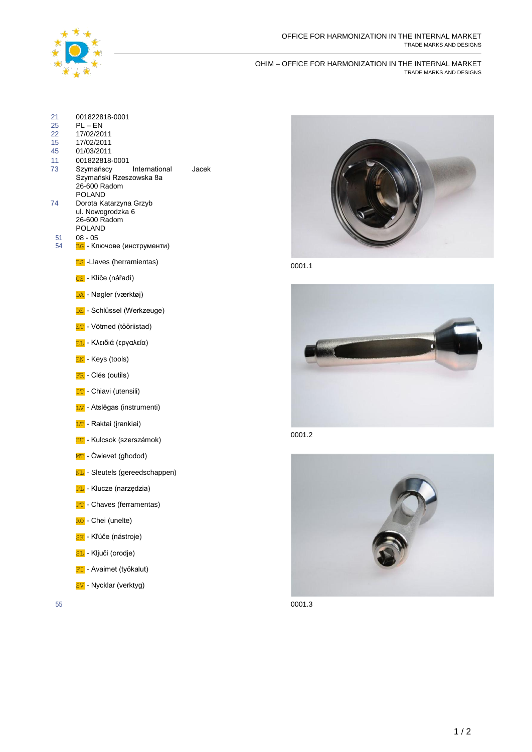

#### OHIM – OFFICE FOR HARMONIZATION IN THE INTERNAL MARKET TRADE MARKS AND DESIGNS

| 21<br>25<br>22<br>15<br>45<br>11<br>73<br>74<br>51<br>54 | 001822818-0001<br>$PL - EN$<br>17/02/2011<br>17/02/2011<br>01/03/2011<br>001822818-0001<br>Szymańscy<br>International<br>Szymański Rzeszowska 8a<br>26-600 Radom<br>POLAND<br>Dorota Katarzyna Grzyb<br>ul. Nowogrodzka 6<br>26-600 Radom<br><b>POLAND</b><br>$08 - 05$<br>ВС - Ключове (инструменти) | Jacek |        |
|----------------------------------------------------------|-------------------------------------------------------------------------------------------------------------------------------------------------------------------------------------------------------------------------------------------------------------------------------------------------------|-------|--------|
|                                                          | <b>ES</b> - Llaves (herramientas)                                                                                                                                                                                                                                                                     |       | 0001.1 |
|                                                          | <mark>cs</mark> - Klíče (nářadí)                                                                                                                                                                                                                                                                      |       |        |
|                                                          | DA - Nøgler (værktøj)                                                                                                                                                                                                                                                                                 |       |        |
|                                                          | <b>DE</b> - Schlüssel (Werkzeuge)                                                                                                                                                                                                                                                                     |       |        |
|                                                          | <b>ET</b> - Võtmed (tööriistad)                                                                                                                                                                                                                                                                       |       |        |
|                                                          | <mark>ΕL</mark> - Κλειδιά (εργαλεία)                                                                                                                                                                                                                                                                  |       |        |
|                                                          | <b>EN</b> - Keys (tools)                                                                                                                                                                                                                                                                              |       |        |
|                                                          | FR - Clés (outils)                                                                                                                                                                                                                                                                                    |       |        |
|                                                          | <b>TT</b> - Chiavi (utensili)                                                                                                                                                                                                                                                                         |       |        |
|                                                          | <b>LV</b> - Atslēgas (instrumenti)                                                                                                                                                                                                                                                                    |       |        |
|                                                          | <b>LT</b> - Raktai (jrankiai)                                                                                                                                                                                                                                                                         |       |        |
|                                                          | <b>HU</b> - Kulcsok (szerszámok)                                                                                                                                                                                                                                                                      |       | 0001.2 |
|                                                          | NT - Cwievet (għodod)                                                                                                                                                                                                                                                                                 |       |        |
|                                                          | NL - Sleutels (gereedschappen)                                                                                                                                                                                                                                                                        |       |        |
|                                                          | <b>PL</b> - Klucze (narzędzia)                                                                                                                                                                                                                                                                        |       |        |
|                                                          | <b>PT</b> - Chaves (ferramentas)                                                                                                                                                                                                                                                                      |       |        |
|                                                          | RO - Chei (unelte)                                                                                                                                                                                                                                                                                    |       |        |
|                                                          | SK - Kľúče (nástroje)                                                                                                                                                                                                                                                                                 |       |        |
|                                                          | SL - Ključi (orodje)                                                                                                                                                                                                                                                                                  |       |        |
|                                                          | <b>FI</b> - Avaimet (työkalut)                                                                                                                                                                                                                                                                        |       |        |
|                                                          |                                                                                                                                                                                                                                                                                                       |       |        |

SV - Nycklar (verktyg)







55 0001.3